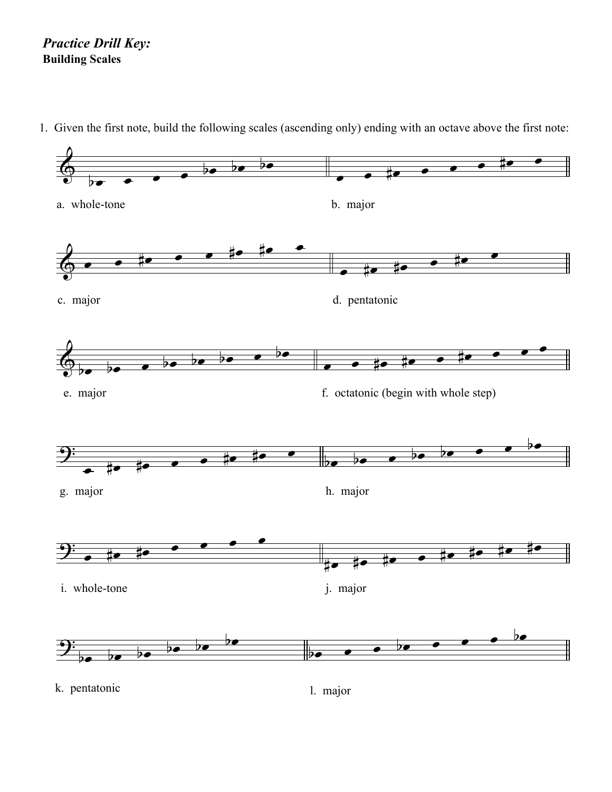## *Practice Drill Key:* **Building Scales**

1. Given the first note, build the following scales (ascending only) ending with an octave above the first note: